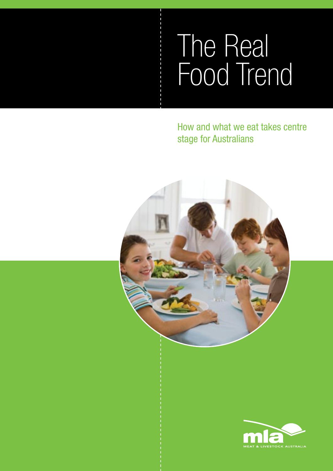# The Real Food Trend

How and what we eat takes centre stage for Australians



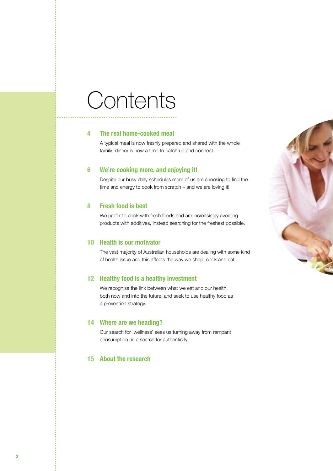## **Contents**

#### 4 The real home-cooked meal

A typical meal is now freshly prepared and shared with the whole family; dinner is now a time to catch up and connect.

#### 6 We're cooking more, and enjoying it!

Despite our busy daily schedules more of us are choosing to find the time and energy to cook from scratch – and we are loving it!

#### 8 Fresh food is best

We prefer to cook with fresh foods and are increasingly avoiding products with additives, instead searching for the freshest possible.

#### 10 Health is our motivator

The vast majority of Australian households are dealing with some kind of health issue and this affects the way we shop, cook and eat.

#### 12 Healthy food is a healthy investment

We recognise the link between what we eat and our health, both now and into the future, and seek to use healthy food as a prevention strategy.

#### 14 Where are we heading?

Our search for 'wellness' sees us turning away from rampant consumption, in a search for authenticity.

#### 15 About the research

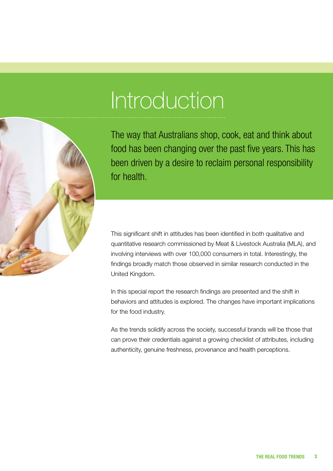# Introduction



The way that Australians shop, cook, eat and think about food has been changing over the past five years. This has been driven by a desire to reclaim personal responsibility for health.

This significant shift in attitudes has been identified in both qualitative and quantitative research commissioned by Meat & Livestock Australia (MLA), and involving interviews with over 100,000 consumers in total. Interestingly, the findings broadly match those observed in similar research conducted in the United Kingdom.

In this special report the research findings are presented and the shift in behaviors and attitudes is explored. The changes have important implications for the food industry.

As the trends solidify across the society, successful brands will be those that can prove their credentials against a growing checklist of attributes, including authenticity, genuine freshness, provenance and health perceptions.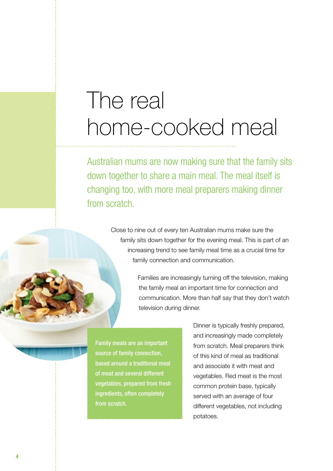## The real home-cooked meal

Australian mums are now making sure that the family sits down together to share a main meal. The meal itself is changing too, with more meal preparers making dinner from scratch.

> Close to nine out of every ten Australian mums make sure the family sits down together for the evening meal. This is part of an increasing trend to see family meal time as a crucial time for family connection and communication.

> > Families are increasingly turning off the television, making the family meal an important time for connection and communication. More than half say that they don't watch television during dinner.

Family meals are an important source of family connection, based around a traditional meal of meat and several different vegetables, prepared from fresh ingredients, often completely from scratch.

Dinner is typically freshly prepared, and increasingly made completely from scratch. Meal preparers think of this kind of meal as traditional and associate it with meat and vegetables. Red meat is the most common protein base, typically served with an average of four different vegetables, not including potatoes.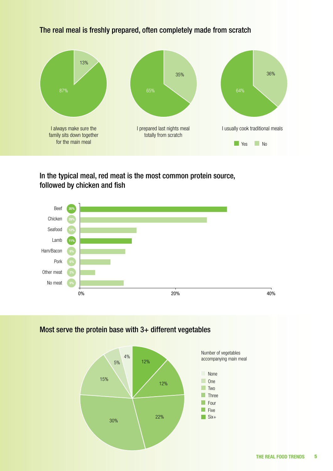#### **No** Yes **No** 87% 13% I always make sure the family sits down together for the main meal 65% 35% I prepared last nights meal totally from scratch 64% 36% I usually cook traditional meals

### The real meal is freshly prepared, often completely made from scratch

In the typical meal, red meat is the most common protein source, followed by chicken and fish



### Most serve the protein base with 3+ different vegetables

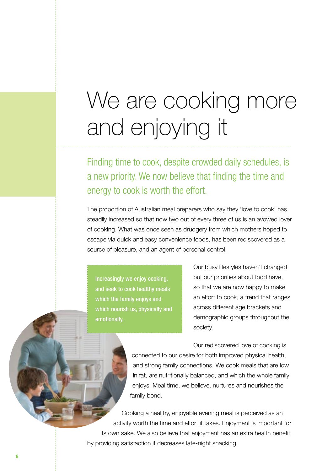## We are cooking more and enjoying it

Finding time to cook, despite crowded daily schedules, is a new priority. We now believe that finding the time and energy to cook is worth the effort.

The proportion of Australian meal preparers who say they 'love to cook' has steadily increased so that now two out of every three of us is an avowed lover of cooking. What was once seen as drudgery from which mothers hoped to escape via quick and easy convenience foods, has been rediscovered as a source of pleasure, and an agent of personal control.

Increasingly we enjoy cooking, and seek to cook healthy meals which the family enjoys and which nourish us, physically and emotionally.

Our busy lifestyles haven't changed but our priorities about food have, so that we are now happy to make an effort to cook, a trend that ranges across different age brackets and demographic groups throughout the society.

Our rediscovered love of cooking is connected to our desire for both improved physical health, and strong family connections. We cook meals that are low in fat, are nutritionally balanced, and which the whole family enjoys. Meal time, we believe, nurtures and nourishes the family bond.

Cooking a healthy, enjoyable evening meal is perceived as an activity worth the time and effort it takes. Enjoyment is important for its own sake. We also believe that enjoyment has an extra health benefit; by providing satisfaction it decreases late-night snacking.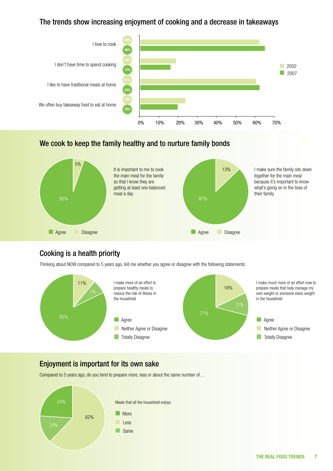#### The trends show increasing enjoyment of cooking and a decrease in takeaways



#### We cook to keep the family healthy and to nurture family bonds



### Cooking is a health priority

Thinking about NOW compared to 5 years ago, tell me whether you agree or disagree with the following statements:



## Enjoyment is important for its own sake

Compared to 5 years ago, do you tend to prepare more, less or about the same number of…

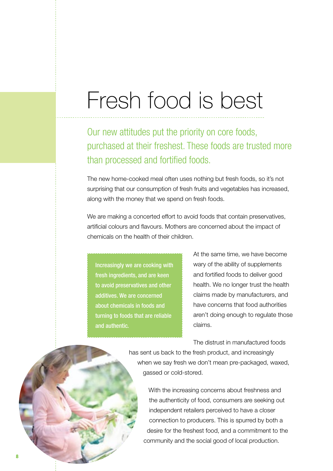## Fresh food is best

Our new attitudes put the priority on core foods, purchased at their freshest. These foods are trusted more than processed and fortified foods.

The new home-cooked meal often uses nothing but fresh foods, so it's not surprising that our consumption of fresh fruits and vegetables has increased, along with the money that we spend on fresh foods.

We are making a concerted effort to avoid foods that contain preservatives, artificial colours and flavours. Mothers are concerned about the impact of chemicals on the health of their children.

Increasingly we are cooking with fresh ingredients, and are keen to avoid preservatives and other additives. We are concerned about chemicals in foods and turning to foods that are reliable and authentic.

At the same time, we have become wary of the ability of supplements and fortified foods to deliver good health. We no longer trust the health claims made by manufacturers, and have concerns that food authorities aren't doing enough to regulate those claims.

The distrust in manufactured foods

has sent us back to the fresh product, and increasingly when we say fresh we don't mean pre-packaged, waxed, gassed or cold-stored.

With the increasing concerns about freshness and the authenticity of food, consumers are seeking out independent retailers perceived to have a closer connection to producers. This is spurred by both a desire for the freshest food, and a commitment to the community and the social good of local production.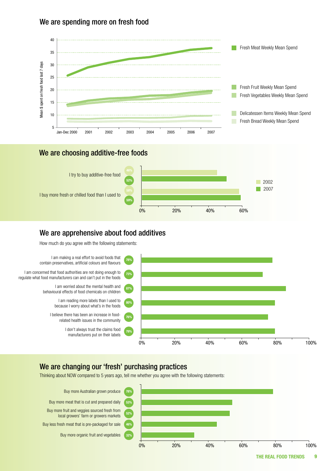#### We are spending more on fresh food



#### We are choosing additive-free foods



#### We are apprehensive about food additives

How much do you agree with the following statements:



### We are changing our 'fresh' purchasing practices

Thinking about NOW compared to 5 years ago, tell me whether you agree with the following statements:

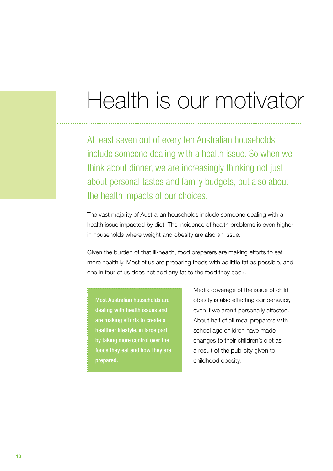## Health is our motivator

At least seven out of every ten Australian households include someone dealing with a health issue. So when we think about dinner, we are increasingly thinking not just about personal tastes and family budgets, but also about the health impacts of our choices.

The vast majority of Australian households include someone dealing with a health issue impacted by diet. The incidence of health problems is even higher in households where weight and obesity are also an issue.

Given the burden of that ill-health, food preparers are making efforts to eat more healthily. Most of us are preparing foods with as little fat as possible, and one in four of us does not add any fat to the food they cook.

Most Australian households are dealing with health issues and are making efforts to create a healthier lifestyle, in large part by taking more control over the foods they eat and how they are prepared.

Media coverage of the issue of child obesity is also effecting our behavior, even if we aren't personally affected. About half of all meal preparers with school age children have made changes to their children's diet as a result of the publicity given to childhood obesity.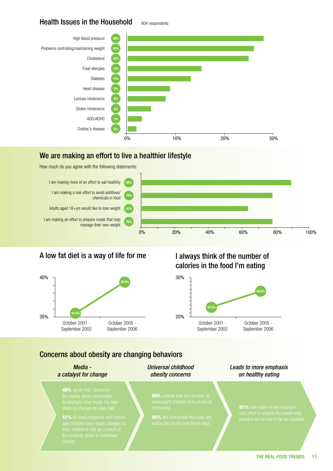#### Health Issues in the Household

804 respondents



#### We are making an effort to live a healthier lifestyle

How much do you agree with the following statements:



### A low fat diet is a way of life for me



## I always think of the number of calories in the food I'm eating



### Concerns about obesity are changing behaviors

*Media a catalyst for change*

40% agree that 'stories in

**51%** of meal preparers with school

*Universal childhood obesity concerns*

*Leads to more emphasis on healthy eating*

94% believe that the number of

95% are concerned that kids are

81% now claim to be making a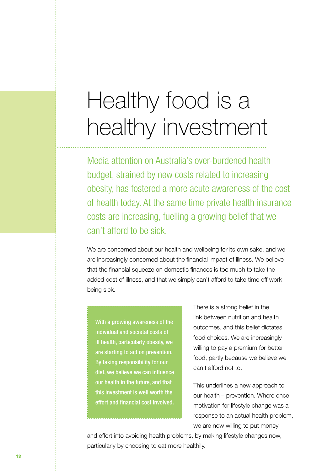## Healthy food is a healthy investment

Media attention on Australia's over-burdened health budget, strained by new costs related to increasing obesity, has fostered a more acute awareness of the cost of health today. At the same time private health insurance costs are increasing, fuelling a growing belief that we can't afford to be sick.

We are concerned about our health and wellbeing for its own sake, and we are increasingly concerned about the financial impact of illness. We believe that the financial squeeze on domestic finances is too much to take the added cost of illness, and that we simply can't afford to take time off work being sick.

With a growing awareness of the individual and societal costs of ill health, particularly obesity, we are starting to act on prevention. By taking responsibility for our diet, we believe we can influence our health in the future, and that this investment is well worth the effort and financial cost involved.

There is a strong belief in the link between nutrition and health outcomes, and this belief dictates food choices. We are increasingly willing to pay a premium for better food, partly because we believe we can't afford not to.

This underlines a new approach to our health – prevention. Where once motivation for lifestyle change was a response to an actual health problem, we are now willing to put money

and effort into avoiding health problems, by making lifestyle changes now, particularly by choosing to eat more healthily.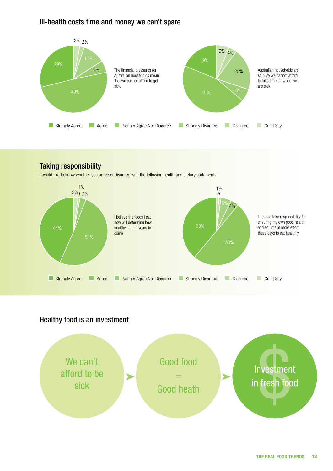#### Ill-health costs time and money we can't spare



## Taking responsibility

I would like to know whether you agree or disagree with the following health and dietary statements:



### Healthy food is an investment

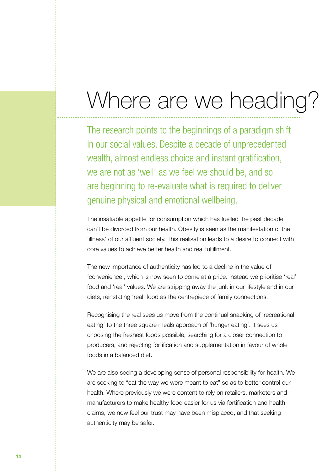## Where are we heading?

The research points to the beginnings of a paradigm shift in our social values. Despite a decade of unprecedented wealth, almost endless choice and instant gratification, we are not as 'well' as we feel we should be, and so are beginning to re-evaluate what is required to deliver genuine physical and emotional wellbeing.

The insatiable appetite for consumption which has fuelled the past decade can't be divorced from our health. Obesity is seen as the manifestation of the 'illness' of our affluent society. This realisation leads to a desire to connect with core values to achieve better health and real fulfillment.

The new importance of authenticity has led to a decline in the value of 'convenience', which is now seen to come at a price. Instead we prioritise 'real' food and 'real' values. We are stripping away the junk in our lifestyle and in our diets, reinstating 'real' food as the centrepiece of family connections.

Recognising the real sees us move from the continual snacking of 'recreational eating' to the three square meals approach of 'hunger eating'. It sees us choosing the freshest foods possible, searching for a closer connection to producers, and rejecting fortification and supplementation in favour of whole foods in a balanced diet.

We are also seeing a developing sense of personal responsibility for health. We are seeking to "eat the way we were meant to eat" so as to better control our health. Where previously we were content to rely on retailers, marketers and manufacturers to make healthy food easier for us via fortification and health claims, we now feel our trust may have been misplaced, and that seeking authenticity may be safer.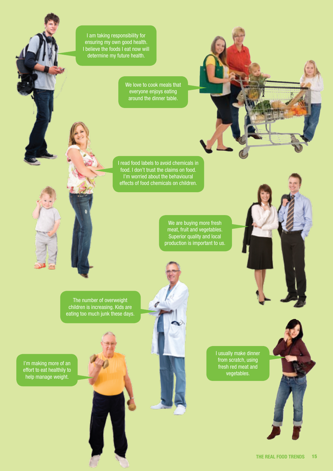I am taking responsibility for ensuring my own good health. I believe the foods I eat now will determine my future health.

> We love to cook meals that everyone enjoys eating around the dinner table.

I read food labels to avoid chemicals in food. I don't trust the claims on food. I'm worried about the behavioural effects of food chemicals on children.

 $\sigma$ 

We are buying more fresh meat, fruit and vegetables. Superior quality and local production is important to us.

The number of overweight children is increasing. Kids are eating too much junk these days.

I'm making more of an effort to eat healthily to help manage weight.

I usually make dinner from scratch, using fresh red meat and vegetables.